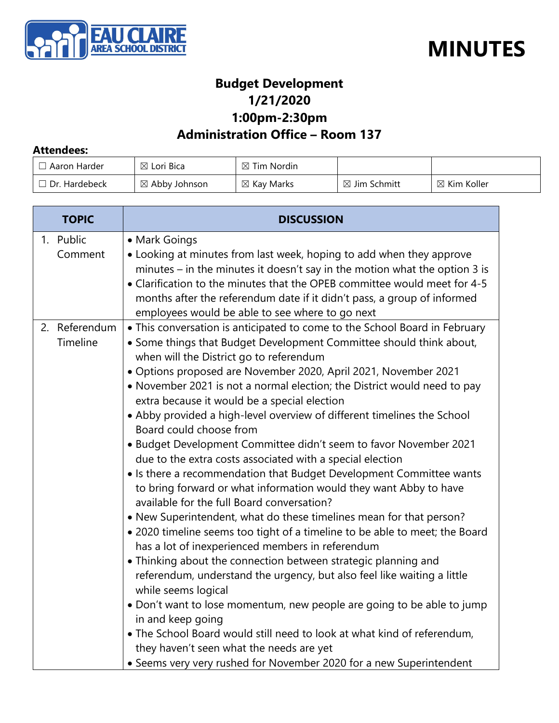



### **Budget Development 1/21/2020 1:00pm-2:30pm**

### **Administration Office – Room 137**

#### **Attendees:**

| Aaron Harder         | $\boxtimes$ Lori Bica    | $\boxtimes$ Tim Nordin |                         |                        |
|----------------------|--------------------------|------------------------|-------------------------|------------------------|
| $\Box$ Dr. Hardebeck | $\boxtimes$ Abby Johnson | $\boxtimes$ Kay Marks  | $\boxtimes$ Jim Schmitt | $\boxtimes$ Kim Koller |

| <b>TOPIC</b>              | <b>DISCUSSION</b>                                                                                                                                                                                                                                                                                                                                                                                                                                                                                                                                                                                                                                                                                                                                                                                                                                                                                                                                                                                                                                                                                                                                                                                                                                                                                                                                                                                                                                                                                        |  |
|---------------------------|----------------------------------------------------------------------------------------------------------------------------------------------------------------------------------------------------------------------------------------------------------------------------------------------------------------------------------------------------------------------------------------------------------------------------------------------------------------------------------------------------------------------------------------------------------------------------------------------------------------------------------------------------------------------------------------------------------------------------------------------------------------------------------------------------------------------------------------------------------------------------------------------------------------------------------------------------------------------------------------------------------------------------------------------------------------------------------------------------------------------------------------------------------------------------------------------------------------------------------------------------------------------------------------------------------------------------------------------------------------------------------------------------------------------------------------------------------------------------------------------------------|--|
| 1. Public<br>Comment      | • Mark Goings<br>• Looking at minutes from last week, hoping to add when they approve<br>minutes – in the minutes it doesn't say in the motion what the option 3 is<br>• Clarification to the minutes that the OPEB committee would meet for 4-5<br>months after the referendum date if it didn't pass, a group of informed<br>employees would be able to see where to go next                                                                                                                                                                                                                                                                                                                                                                                                                                                                                                                                                                                                                                                                                                                                                                                                                                                                                                                                                                                                                                                                                                                           |  |
| 2. Referendum<br>Timeline | • This conversation is anticipated to come to the School Board in February<br>• Some things that Budget Development Committee should think about,<br>when will the District go to referendum<br>· Options proposed are November 2020, April 2021, November 2021<br>• November 2021 is not a normal election; the District would need to pay<br>extra because it would be a special election<br>• Abby provided a high-level overview of different timelines the School<br>Board could choose from<br>• Budget Development Committee didn't seem to favor November 2021<br>due to the extra costs associated with a special election<br>• Is there a recommendation that Budget Development Committee wants<br>to bring forward or what information would they want Abby to have<br>available for the full Board conversation?<br>• New Superintendent, what do these timelines mean for that person?<br>• 2020 timeline seems too tight of a timeline to be able to meet; the Board<br>has a lot of inexperienced members in referendum<br>• Thinking about the connection between strategic planning and<br>referendum, understand the urgency, but also feel like waiting a little<br>while seems logical<br>• Don't want to lose momentum, new people are going to be able to jump<br>in and keep going<br>. The School Board would still need to look at what kind of referendum,<br>they haven't seen what the needs are yet<br>• Seems very very rushed for November 2020 for a new Superintendent |  |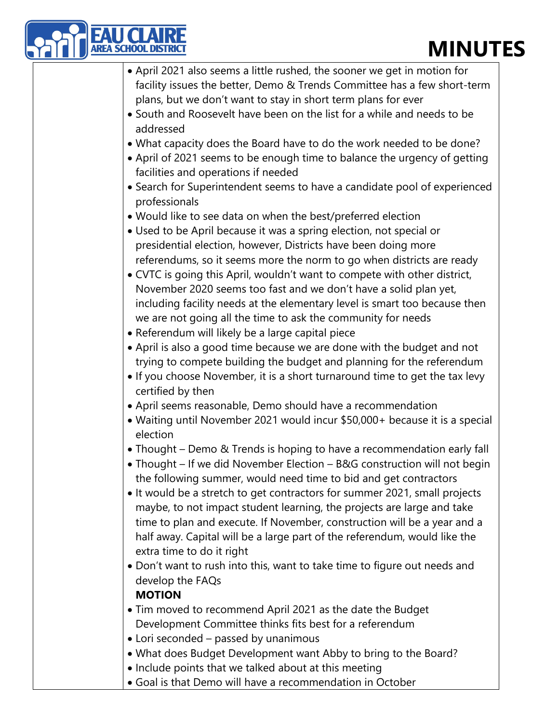# **MINUTES**

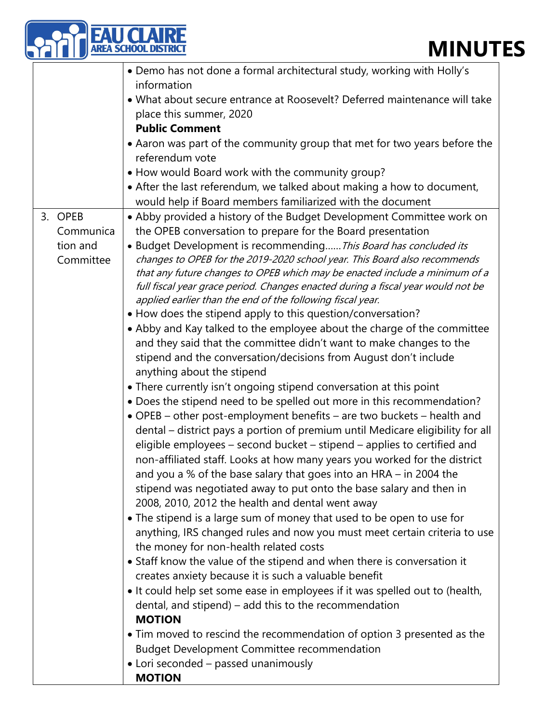## **MINUTES**

| EA SCHOOL DISTRIC<br><b>MINUT</b> |                                                                                                                                                                                                                                                                                                                                                                                                                                                                                                                                                                                                                                                                                                                                                                                             |  |  |  |
|-----------------------------------|---------------------------------------------------------------------------------------------------------------------------------------------------------------------------------------------------------------------------------------------------------------------------------------------------------------------------------------------------------------------------------------------------------------------------------------------------------------------------------------------------------------------------------------------------------------------------------------------------------------------------------------------------------------------------------------------------------------------------------------------------------------------------------------------|--|--|--|
|                                   | • Demo has not done a formal architectural study, working with Holly's<br>information                                                                                                                                                                                                                                                                                                                                                                                                                                                                                                                                                                                                                                                                                                       |  |  |  |
|                                   | • What about secure entrance at Roosevelt? Deferred maintenance will take<br>place this summer, 2020                                                                                                                                                                                                                                                                                                                                                                                                                                                                                                                                                                                                                                                                                        |  |  |  |
|                                   | <b>Public Comment</b>                                                                                                                                                                                                                                                                                                                                                                                                                                                                                                                                                                                                                                                                                                                                                                       |  |  |  |
|                                   | • Aaron was part of the community group that met for two years before the<br>referendum vote                                                                                                                                                                                                                                                                                                                                                                                                                                                                                                                                                                                                                                                                                                |  |  |  |
|                                   | • How would Board work with the community group?                                                                                                                                                                                                                                                                                                                                                                                                                                                                                                                                                                                                                                                                                                                                            |  |  |  |
|                                   | • After the last referendum, we talked about making a how to document,<br>would help if Board members familiarized with the document                                                                                                                                                                                                                                                                                                                                                                                                                                                                                                                                                                                                                                                        |  |  |  |
| 3. OPEB<br>Communica              | • Abby provided a history of the Budget Development Committee work on<br>the OPEB conversation to prepare for the Board presentation                                                                                                                                                                                                                                                                                                                                                                                                                                                                                                                                                                                                                                                        |  |  |  |
| tion and<br>Committee             | • Budget Development is recommending This Board has concluded its<br>changes to OPEB for the 2019-2020 school year. This Board also recommends<br>that any future changes to OPEB which may be enacted include a minimum of a<br>full fiscal year grace period. Changes enacted during a fiscal year would not be                                                                                                                                                                                                                                                                                                                                                                                                                                                                           |  |  |  |
|                                   | applied earlier than the end of the following fiscal year.                                                                                                                                                                                                                                                                                                                                                                                                                                                                                                                                                                                                                                                                                                                                  |  |  |  |
|                                   | • How does the stipend apply to this question/conversation?<br>• Abby and Kay talked to the employee about the charge of the committee<br>and they said that the committee didn't want to make changes to the<br>stipend and the conversation/decisions from August don't include<br>anything about the stipend                                                                                                                                                                                                                                                                                                                                                                                                                                                                             |  |  |  |
|                                   | • There currently isn't ongoing stipend conversation at this point                                                                                                                                                                                                                                                                                                                                                                                                                                                                                                                                                                                                                                                                                                                          |  |  |  |
|                                   | . Does the stipend need to be spelled out more in this recommendation?<br>• OPEB – other post-employment benefits – are two buckets – health and<br>dental – district pays a portion of premium until Medicare eligibility for all<br>eligible employees – second bucket – stipend – applies to certified and<br>non-affiliated staff. Looks at how many years you worked for the district<br>and you a % of the base salary that goes into an HRA - in 2004 the<br>stipend was negotiated away to put onto the base salary and then in<br>2008, 2010, 2012 the health and dental went away<br>• The stipend is a large sum of money that used to be open to use for<br>anything, IRS changed rules and now you must meet certain criteria to use<br>the money for non-health related costs |  |  |  |
|                                   | • Staff know the value of the stipend and when there is conversation it<br>creates anxiety because it is such a valuable benefit<br>• It could help set some ease in employees if it was spelled out to (health,<br>dental, and stipend) – add this to the recommendation<br><b>MOTION</b><br>• Tim moved to rescind the recommendation of option 3 presented as the                                                                                                                                                                                                                                                                                                                                                                                                                        |  |  |  |
|                                   | <b>Budget Development Committee recommendation</b><br>• Lori seconded - passed unanimously<br><b>MOTION</b>                                                                                                                                                                                                                                                                                                                                                                                                                                                                                                                                                                                                                                                                                 |  |  |  |